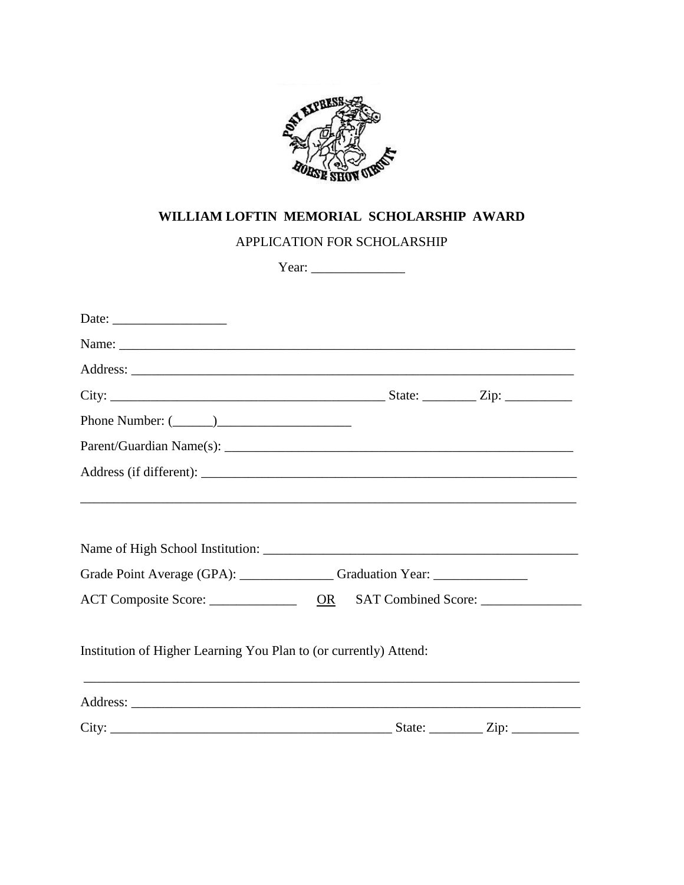

## WILLIAM LOFTIN MEMORIAL SCHOLARSHIP AWARD

APPLICATION FOR SCHOLARSHIP

| Date: $\frac{1}{\sqrt{1-\frac{1}{2}}\sqrt{1-\frac{1}{2}}\sqrt{1-\frac{1}{2}}\sqrt{1-\frac{1}{2}}\sqrt{1-\frac{1}{2}}}}$ |  |  |
|-------------------------------------------------------------------------------------------------------------------------|--|--|
|                                                                                                                         |  |  |
|                                                                                                                         |  |  |
|                                                                                                                         |  |  |
|                                                                                                                         |  |  |
|                                                                                                                         |  |  |
|                                                                                                                         |  |  |
| Grade Point Average (GPA): ________________Graduation Year: ____________________                                        |  |  |
|                                                                                                                         |  |  |
| Institution of Higher Learning You Plan to (or currently) Attend:                                                       |  |  |
|                                                                                                                         |  |  |
|                                                                                                                         |  |  |